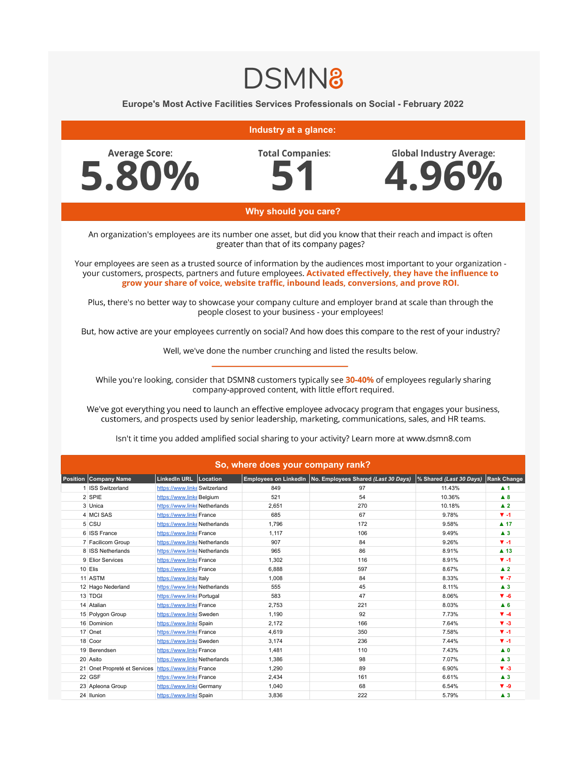## **DSMN8**

Europe's Most Active Facilities Services Professionals on Social - February 2022

## Industry at a glance:

**Average Score:** 5.80% **Total Companies:** 



## Why should you care?

An organization's employees are its number one asset, but did you know that their reach and impact is often greater than that of its company pages?

Your employees are seen as a trusted source of information by the audiences most important to your organization your customers, prospects, partners and future employees. Activated effectively, they have the influence to grow your share of voice, website traffic, inbound leads, conversions, and prove ROI.

Plus, there's no better way to showcase your company culture and employer brand at scale than through the people closest to your business - your employees!

But, how active are your employees currently on social? And how does this compare to the rest of your industry?

Well, we've done the number crunching and listed the results below.

While you're looking, consider that DSMN8 customers typically see 30-40% of employees regularly sharing company-approved content, with little effort required.

We've got everything you need to launch an effective employee advocacy program that engages your business, customers, and prospects used by senior leadership, marketing, communications, sales, and HR teams.

| So, where does your company rank? |                              |                               |  |       |                                                           |                            |                     |  |  |  |  |
|-----------------------------------|------------------------------|-------------------------------|--|-------|-----------------------------------------------------------|----------------------------|---------------------|--|--|--|--|
| <b>Position</b>                   | Company Name                 | LinkedIn URL Location         |  |       | Employees on LinkedIn No. Employees Shared (Last 30 Days) | $\%$ Shared (Last 30 Days) | <b>Rank Change</b>  |  |  |  |  |
|                                   | 1 ISS Switzerland            | https://www.linke Switzerland |  | 849   | 97                                                        | 11.43%                     | $\blacktriangle$ 1  |  |  |  |  |
|                                   | 2 SPIE                       | https://www.linkeBelgium      |  | 521   | 54                                                        | 10.36%                     | $\blacktriangle$ 8  |  |  |  |  |
|                                   | 3 Unica                      | https://www.linke Netherlands |  | 2,651 | 270                                                       | 10.18%                     | $\blacktriangle$ 2  |  |  |  |  |
|                                   | 4 MCI SAS                    | https://www.linke France      |  | 685   | 67                                                        | 9.78%                      | $V - 1$             |  |  |  |  |
|                                   | 5 CSU                        | https://www.linke Netherlands |  | 1,796 | 172                                                       | 9.58%                      | $\blacktriangle$ 17 |  |  |  |  |
|                                   | 6 ISS France                 | https://www.linke France      |  | 1,117 | 106                                                       | 9.49%                      | $\blacktriangle$ 3  |  |  |  |  |
|                                   | 7 Facilicom Group            | https://www.linke Netherlands |  | 907   | 84                                                        | 9.26%                      | $V - 1$             |  |  |  |  |
|                                   | 8 ISS Netherlands            | https://www.linke Netherlands |  | 965   | 86                                                        | 8.91%                      | $\blacktriangle$ 13 |  |  |  |  |
|                                   | 9 Elior Services             | https://www.linke France      |  | 1,302 | 116                                                       | 8.91%                      | $\Psi - 1$          |  |  |  |  |
|                                   | 10 Elis                      | https://www.linke France      |  | 6,888 | 597                                                       | 8.67%                      | $\blacktriangle$ 2  |  |  |  |  |
|                                   | 11 ASTM                      | https://www.linkeltaly        |  | 1,008 | 84                                                        | 8.33%                      | $V - 7$             |  |  |  |  |
|                                   | 12 Hago Nederland            | https://www.linke Netherlands |  | 555   | 45                                                        | 8.11%                      | $\blacktriangle$ 3  |  |  |  |  |
|                                   | 13 TDGI                      | https://www.linke Portugal    |  | 583   | 47                                                        | 8.06%                      | $\Psi - 6$          |  |  |  |  |
|                                   | 14 Atalian                   | https://www.linke France      |  | 2,753 | 221                                                       | 8.03%                      | $A$ <sub>6</sub>    |  |  |  |  |
|                                   | 15 Polygon Group             | https://www.linke Sweden      |  | 1,190 | 92                                                        | 7.73%                      | $\Psi - 4$          |  |  |  |  |
|                                   | 16 Dominion                  | https://www.linke Spain       |  | 2,172 | 166                                                       | 7.64%                      | $\Psi - 3$          |  |  |  |  |
|                                   | 17 Onet                      | https://www.linke France      |  | 4,619 | 350                                                       | 7.58%                      | $V - 1$             |  |  |  |  |
|                                   | 18 Coor                      | https://www.linke Sweden      |  | 3,174 | 236                                                       | 7.44%                      | $V - 1$             |  |  |  |  |
|                                   | 19 Berendsen                 | https://www.linke France      |  | 1,481 | 110                                                       | 7.43%                      | $\blacktriangle$ 0  |  |  |  |  |
|                                   | 20 Asito                     | https://www.linke Netherlands |  | 1,386 | 98                                                        | 7.07%                      | $\blacktriangle$ 3  |  |  |  |  |
|                                   | 21 Onet Propreté et Services | https://www.linke France      |  | 1,290 | 89                                                        | 6.90%                      | $\Psi - 3$          |  |  |  |  |
|                                   | 22 GSF                       | https://www.linke France      |  | 2,434 | 161                                                       | 6.61%                      | $\blacktriangle$ 3  |  |  |  |  |
|                                   | 23 Apleona Group             | https://www.linke Germany     |  | 1,040 | 68                                                        | 6.54%                      | $\Psi - 9$          |  |  |  |  |
|                                   | 24 Ilunion                   | https://www.linke Spain       |  | 3,836 | 222                                                       | 5.79%                      | $\blacktriangle$ 3  |  |  |  |  |

Isn't it time you added amplified social sharing to your activity? Learn more at www.dsmn8.com